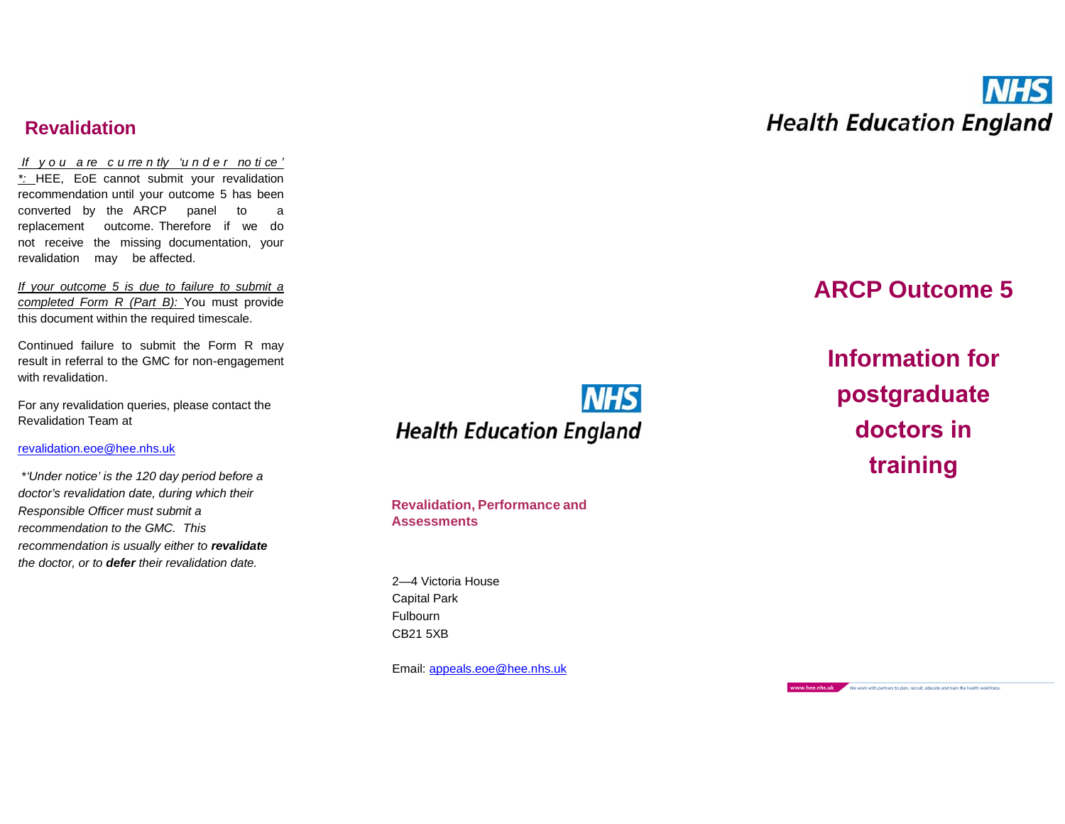## **Revalidation**

*If y o u a re c u rre n tly 'u n d e r no ti ce ' \*:* HEE, EoE can not submit your re val idation recommen dat ion until your outcome 5 has been con ver ted by the ARCP panel to a replacement outcome. Therefore if we do not receive the missing documentation, your revalidat ion may be affe cted.

*If your outcome 5 is due to failure to submit a comple ted Form R (Part B):* You must provide this document within the required timesc ale.

Continued failure to submit the Form R may result in referral to the GMC for non-engagement with revalidation.

For any revalidation queries, please contact the Re valida tion Team at

#### [revalidation.eoe](mailto:revalidation.eoe@hee.nhs.uk) @hee.nhs.uk

\* *'Under notice' is the 120 day period be doctor's re validation date, during which their Re sponsible Officer must submit a recommenda tion to the G MC. This recommenda tion is usua lly either to revalidate the docto r, or to de fer th eir revali dation da te.*

**NHS Health Education England** 

**Re val idation, Performance and Assessments**

2—4 Victor ia House Capit al Park Fulb ourn CB21 5XB

Email: <u>appeals.eoe[@hee.nhs.uk](mailto:appeals.eoe@hee.nhs.uk)</u>



## **AR CP Outcome 5**

**Information for postgraduate doctors in**  *fore a* **training**